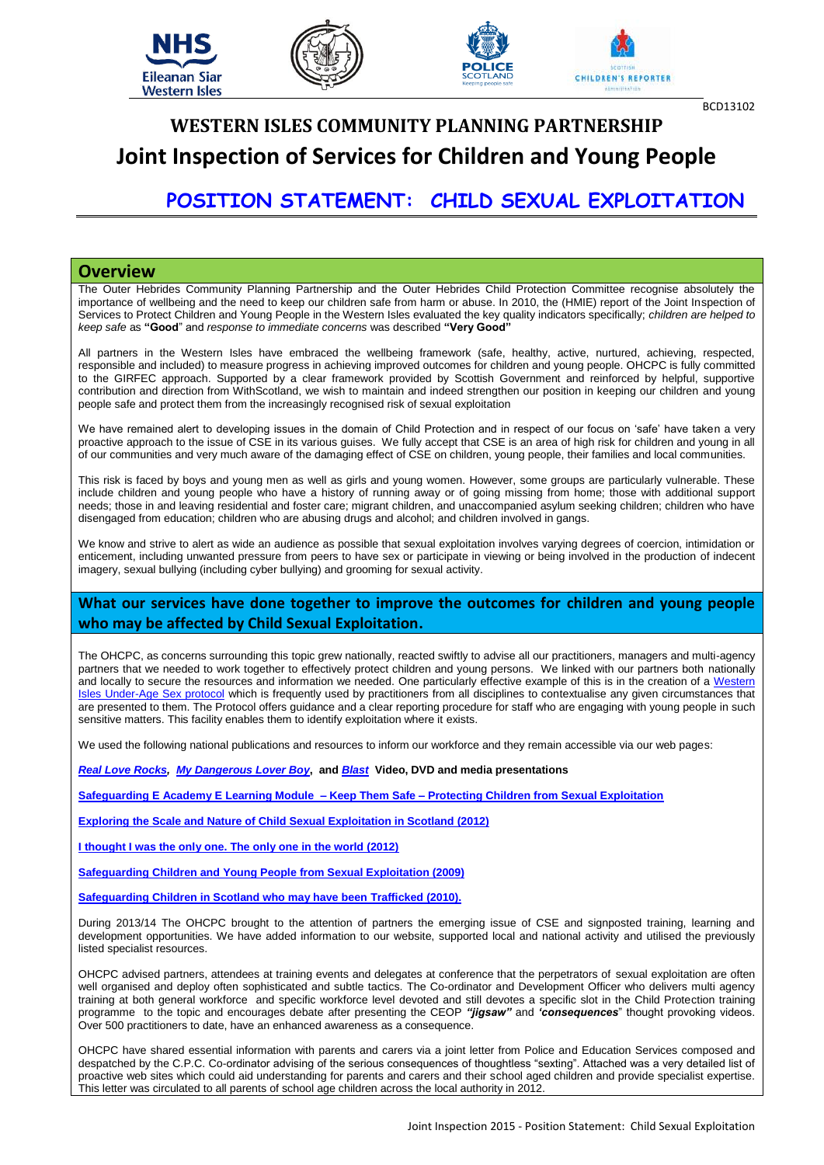

# **WESTERN ISLES COMMUNITY PLANNING PARTNERSHIP Joint Inspection of Services for Children and Young People**

## **POSITION STATEMENT: CHILD SEXUAL EXPLOITATION**

### **Overview**

The Outer Hebrides Community Planning Partnership and the Outer Hebrides Child Protection Committee recognise absolutely the importance of wellbeing and the need to keep our children safe from harm or abuse. In 2010, the (HMIE) report of the Joint Inspection of Services to Protect Children and Young People in the Western Isles evaluated the key quality indicators specifically; *children are helped to keep safe* as **"Good**" and *response to immediate concerns* was described **"Very Good"**

All partners in the Western Isles have embraced the wellbeing framework (safe, healthy, active, nurtured, achieving, respected, responsible and included) to measure progress in achieving improved outcomes for children and young people. OHCPC is fully committed to the GIRFEC approach. Supported by a clear framework provided by Scottish Government and reinforced by helpful, supportive contribution and direction from WithScotland, we wish to maintain and indeed strengthen our position in keeping our children and young people safe and protect them from the increasingly recognised risk of sexual exploitation

We have remained alert to developing issues in the domain of Child Protection and in respect of our focus on 'safe' have taken a very proactive approach to the issue of CSE in its various guises. We fully accept that CSE is an area of high risk for children and young in all of our communities and very much aware of the damaging effect of CSE on children, young people, their families and local communities.

This risk is faced by boys and young men as well as girls and young women. However, some groups are particularly vulnerable. These include children and young people who have a history of running away or of going missing from home; those with additional support needs; those in and leaving residential and foster care; migrant children, and unaccompanied asylum seeking children; children who have disengaged from education; children who are abusing drugs and alcohol; and children involved in gangs.

We know and strive to alert as wide an audience as possible that sexual exploitation involves varying degrees of coercion, intimidation or enticement, including unwanted pressure from peers to have sex or participate in viewing or being involved in the production of indecent imagery, sexual bullying (including cyber bullying) and grooming for sexual activity.

## **What our services have done together to improve the outcomes for children and young people who may be affected by Child Sexual Exploitation.**

The OHCPC, as concerns surrounding this topic grew nationally, reacted swiftly to advise all our practitioners, managers and multi-agency partners that we needed to work together to effectively protect children and young persons. We linked with our partners both nationally and locally to secure the resources and information we needed. One particularly effective example of this is in the creation of a Western [Isles Under-Age Sex protocol](http://www.wiusp.org.uk/) which is frequently used by practitioners from all disciplines to contextualise any given circumstances that are presented to them. The Protocol offers guidance and a clear reporting procedure for staff who are engaging with young people in such sensitive matters. This facility enables them to identify exploitation where it exists.

We used the following national publications and resources to inform our workforce and they remain accessible via our web pages:

*[Real Love Rocks,](http://www.barnardosrealloverocks.org.uk/)**[My Dangerous Lover Boy](http://www.mydangerousloverboy.com/)***, and** *[Blast](http://mesmac.co.uk/blast)* **Video, DVD and media presentations**

**[Safeguarding E Academy E Learning Module –](http://www.safeguardingchildrenea.co.uk/safeguarding-news/keep-them-safe/) Keep Them Safe – Protecting Children from Sexual Exploitation** 

**[Exploring the Scale and Nature of Child Sexual Exploitation in Scotland \(2012\)](http://www.gov.scot/Resource/0040/00404853.pdf)**

**[I thought I was the only one. The only one in the world \(2012\)](http://www.childrenscommissioner.gov.uk/content/publications/content_636)**

**[Safeguarding Children and Young People from Sexual Exploitation \(2009\)](https://www.gov.uk/government/uploads/system/uploads/attachment_data/file/278849/Safeguarding_Children_and_Young_People_from_Sexual_Exploitation.pdf)**

**[Safeguarding Children in Scotland who may have been Trafficked \(2010\).](http://www.gov.scot/Resource/Doc/261528/0078243.pdf)**

During 2013/14 The OHCPC brought to the attention of partners the emerging issue of CSE and signposted training, learning and development opportunities. We have added information to our website, supported local and national activity and utilised the previously listed specialist resources.

OHCPC advised partners, attendees at training events and delegates at conference that the perpetrators of sexual exploitation are often well organised and deploy often sophisticated and subtle tactics. The Co-ordinator and Development Officer who delivers multi agency training at both general workforce and specific workforce level devoted and still devotes a specific slot in the Child Protection training programme to the topic and encourages debate after presenting the CEOP *"jigsaw"* and *'consequences*" thought provoking videos. Over 500 practitioners to date, have an enhanced awareness as a consequence.

OHCPC have shared essential information with parents and carers via a joint letter from Police and Education Services composed and despatched by the C.P.C. Co-ordinator advising of the serious consequences of thoughtless "sexting". Attached was a very detailed list of proactive web sites which could aid understanding for parents and carers and their school aged children and provide specialist expertise. This letter was circulated to all parents of school age children across the local authority in 2012.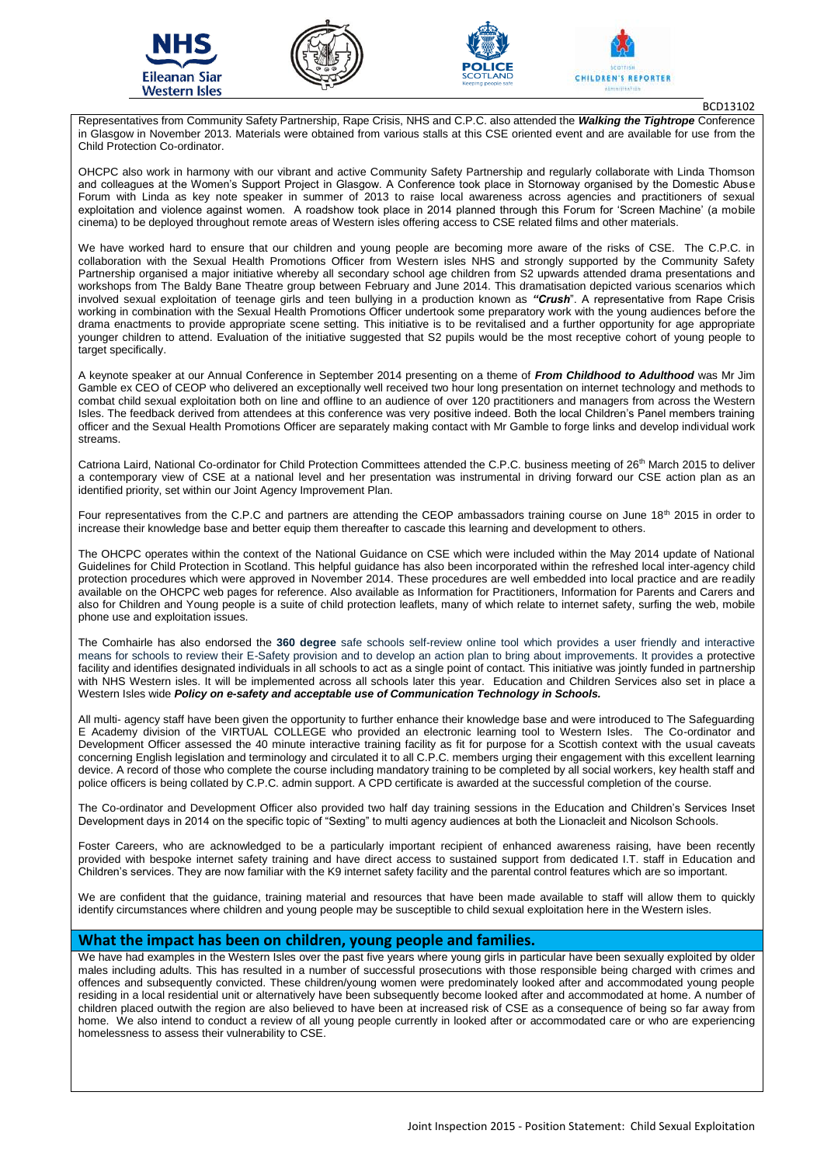







BCD13102

Representatives from Community Safety Partnership, Rape Crisis, NHS and C.P.C. also attended the *Walking the Tightrope* Conference in Glasgow in November 2013. Materials were obtained from various stalls at this CSE oriented event and are available for use from the Child Protection Co-ordinator.

OHCPC also work in harmony with our vibrant and active Community Safety Partnership and regularly collaborate with Linda Thomson and colleagues at the Women's Support Project in Glasgow. A Conference took place in Stornoway organised by the Domestic Abuse Forum with Linda as key note speaker in summer of 2013 to raise local awareness across agencies and practitioners of sexual exploitation and violence against women. A roadshow took place in 2014 planned through this Forum for 'Screen Machine' (a mobile cinema) to be deployed throughout remote areas of Western isles offering access to CSE related films and other materials.

We have worked hard to ensure that our children and young people are becoming more aware of the risks of CSE. The C.P.C. in collaboration with the Sexual Health Promotions Officer from Western isles NHS and strongly supported by the Community Safety Partnership organised a major initiative whereby all secondary school age children from S2 upwards attended drama presentations and workshops from The Baldy Bane Theatre group between February and June 2014. This dramatisation depicted various scenarios which involved sexual exploitation of teenage girls and teen bullying in a production known as *"Crush*". A representative from Rape Crisis working in combination with the Sexual Health Promotions Officer undertook some preparatory work with the young audiences before the drama enactments to provide appropriate scene setting. This initiative is to be revitalised and a further opportunity for age appropriate younger children to attend. Evaluation of the initiative suggested that S2 pupils would be the most receptive cohort of young people to target specifically.

A keynote speaker at our Annual Conference in September 2014 presenting on a theme of *From Childhood to Adulthood* was Mr Jim Gamble ex CEO of CEOP who delivered an exceptionally well received two hour long presentation on internet technology and methods to combat child sexual exploitation both on line and offline to an audience of over 120 practitioners and managers from across the Western Isles. The feedback derived from attendees at this conference was very positive indeed. Both the local Children's Panel members training officer and the Sexual Health Promotions Officer are separately making contact with Mr Gamble to forge links and develop individual work streams.

Catriona Laird, National Co-ordinator for Child Protection Committees attended the C.P.C. business meeting of 26<sup>th</sup> March 2015 to deliver a contemporary view of CSE at a national level and her presentation was instrumental in driving forward our CSE action plan as an identified priority, set within our Joint Agency Improvement Plan.

Four representatives from the C.P.C and partners are attending the CEOP ambassadors training course on June  $18<sup>th</sup>$  2015 in order to increase their knowledge base and better equip them thereafter to cascade this learning and development to others.

The OHCPC operates within the context of the National Guidance on CSE which were included within the May 2014 update of National Guidelines for Child Protection in Scotland. This helpful guidance has also been incorporated within the refreshed local inter-agency child protection procedures which were approved in November 2014. These procedures are well embedded into local practice and are readily available on the OHCPC web pages for reference. Also available as Information for Practitioners, Information for Parents and Carers and also for Children and Young people is a suite of child protection leaflets, many of which relate to internet safety, surfing the web, mobile phone use and exploitation issues.

The Comhairle has also endorsed the **360 degree** safe schools self-review online tool which provides a user friendly and interactive means for schools to review their E-Safety provision and to develop an action plan to bring about improvements. It provides a protective facility and identifies designated individuals in all schools to act as a single point of contact. This initiative was jointly funded in partnership with NHS Western isles. It will be implemented across all schools later this year. Education and Children Services also set in place a Western Isles wide *Policy on e-safety and acceptable use of Communication Technology in Schools.* 

All multi- agency staff have been given the opportunity to further enhance their knowledge base and were introduced to The Safeguarding E Academy division of the VIRTUAL COLLEGE who provided an electronic learning tool to Western Isles. The Co-ordinator and Development Officer assessed the 40 minute interactive training facility as fit for purpose for a Scottish context with the usual caveats concerning English legislation and terminology and circulated it to all C.P.C. members urging their engagement with this excellent learning device. A record of those who complete the course including mandatory training to be completed by all social workers, key health staff and police officers is being collated by C.P.C. admin support. A CPD certificate is awarded at the successful completion of the course.

The Co-ordinator and Development Officer also provided two half day training sessions in the Education and Children's Services Inset Development days in 2014 on the specific topic of "Sexting" to multi agency audiences at both the Lionacleit and Nicolson Schools.

Foster Careers, who are acknowledged to be a particularly important recipient of enhanced awareness raising, have been recently provided with bespoke internet safety training and have direct access to sustained support from dedicated I.T. staff in Education and Children's services. They are now familiar with the K9 internet safety facility and the parental control features which are so important.

We are confident that the guidance, training material and resources that have been made available to staff will allow them to quickly identify circumstances where children and young people may be susceptible to child sexual exploitation here in the Western isles.

## **What the impact has been on children, young people and families.**

We have had examples in the Western Isles over the past five years where young girls in particular have been sexually exploited by older males including adults. This has resulted in a number of successful prosecutions with those responsible being charged with crimes and offences and subsequently convicted. These children/young women were predominately looked after and accommodated young people residing in a local residential unit or alternatively have been subsequently become looked after and accommodated at home. A number of children placed outwith the region are also believed to have been at increased risk of CSE as a consequence of being so far away from home. We also intend to conduct a review of all young people currently in looked after or accommodated care or who are experiencing homelessness to assess their vulnerability to CSE.